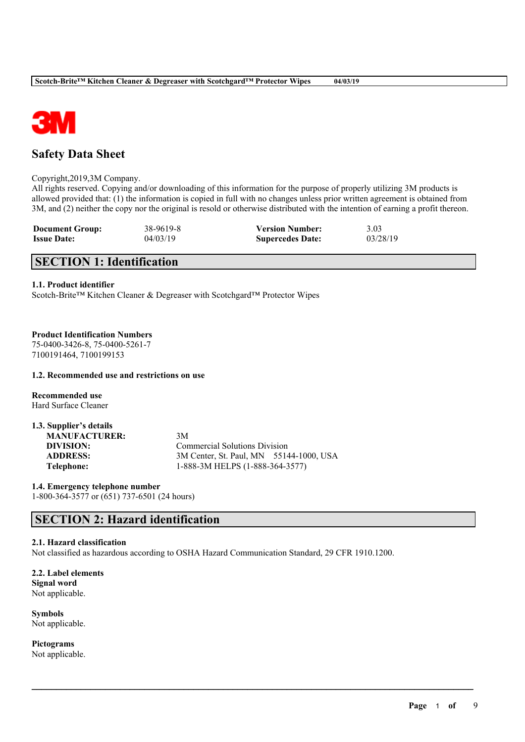

# **Safety Data Sheet**

Copyright,2019,3M Company.

All rights reserved. Copying and/or downloading of this information for the purpose of properly utilizing 3M products is allowed provided that: (1) the information is copied in full with no changes unless prior written agreement is obtained from 3M, and (2) neither the copy nor the original is resold or otherwise distributed with the intention of earning a profit thereon.

| <b>Document Group:</b> | 38-9619-8 | <b>Version Number:</b>  | 3.03     |
|------------------------|-----------|-------------------------|----------|
| <b>Issue Date:</b>     | 04/03/19  | <b>Supercedes Date:</b> | 03/28/19 |

# **SECTION 1: Identification**

#### **1.1. Product identifier**

Scotch-Brite™ Kitchen Cleaner & Degreaser with Scotchgard™ Protector Wipes

#### **Product Identification Numbers**

75-0400-3426-8, 75-0400-5261-7 7100191464, 7100199153

#### **1.2. Recommended use and restrictions on use**

**Recommended use** Hard Surface Cleaner

| 1.3. Supplier's details |                                         |
|-------------------------|-----------------------------------------|
| <b>MANUFACTURER:</b>    | 3M                                      |
| DIVISION:               | <b>Commercial Solutions Division</b>    |
| <b>ADDRESS:</b>         | 3M Center, St. Paul, MN 55144-1000, USA |
| Telephone:              | 1-888-3M HELPS (1-888-364-3577)         |

**1.4. Emergency telephone number** 1-800-364-3577 or (651) 737-6501 (24 hours)

# **SECTION 2: Hazard identification**

#### **2.1. Hazard classification**

Not classified as hazardous according to OSHA Hazard Communication Standard, 29 CFR 1910.1200.

 $\mathcal{L}_\mathcal{L} = \mathcal{L}_\mathcal{L} = \mathcal{L}_\mathcal{L} = \mathcal{L}_\mathcal{L} = \mathcal{L}_\mathcal{L} = \mathcal{L}_\mathcal{L} = \mathcal{L}_\mathcal{L} = \mathcal{L}_\mathcal{L} = \mathcal{L}_\mathcal{L} = \mathcal{L}_\mathcal{L} = \mathcal{L}_\mathcal{L} = \mathcal{L}_\mathcal{L} = \mathcal{L}_\mathcal{L} = \mathcal{L}_\mathcal{L} = \mathcal{L}_\mathcal{L} = \mathcal{L}_\mathcal{L} = \mathcal{L}_\mathcal{L}$ 

**2.2. Label elements Signal word** Not applicable.

**Symbols** Not applicable.

**Pictograms** Not applicable.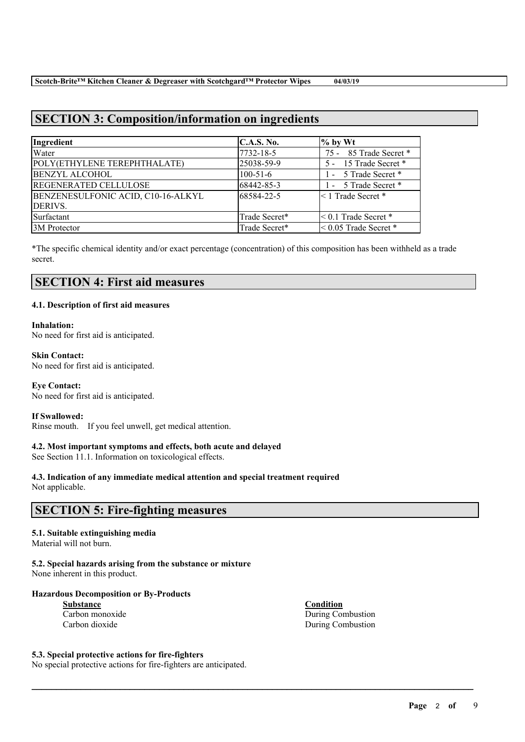# **SECTION 3: Composition/information on ingredients**

| Ingredient                         | C.A.S. No.     | $%$ by Wt                  |
|------------------------------------|----------------|----------------------------|
| Water                              | 7732-18-5      | 75 - 85 Trade Secret *     |
| POLY(ETHYLENE TEREPHTHALATE)       | 25038-59-9     | 5 - 15 Trade Secret *      |
| <b>BENZYL ALCOHOL</b>              | $100 - 51 - 6$ | 1 - 5 Trade Secret *       |
| <b>REGENERATED CELLULOSE</b>       | 68442-85-3     | 1 - 5 Trade Secret *       |
| BENZENESULFONIC ACID, C10-16-ALKYL | 68584-22-5     | $\leq 1$ Trade Secret *    |
| DERIVS.                            |                |                            |
| Surfactant                         | Trade Secret*  | $\leq 0.1$ Trade Secret *  |
| 3M Protector                       | Trade Secret*  | $\leq 0.05$ Trade Secret * |

\*The specific chemical identity and/or exact percentage (concentration) of this composition has been withheld as a trade secret.

 $\mathcal{L}_\mathcal{L} = \mathcal{L}_\mathcal{L} = \mathcal{L}_\mathcal{L} = \mathcal{L}_\mathcal{L} = \mathcal{L}_\mathcal{L} = \mathcal{L}_\mathcal{L} = \mathcal{L}_\mathcal{L} = \mathcal{L}_\mathcal{L} = \mathcal{L}_\mathcal{L} = \mathcal{L}_\mathcal{L} = \mathcal{L}_\mathcal{L} = \mathcal{L}_\mathcal{L} = \mathcal{L}_\mathcal{L} = \mathcal{L}_\mathcal{L} = \mathcal{L}_\mathcal{L} = \mathcal{L}_\mathcal{L} = \mathcal{L}_\mathcal{L}$ 

# **SECTION 4: First aid measures**

#### **4.1. Description of first aid measures**

# **Inhalation:**

No need for first aid is anticipated.

### **Skin Contact:**

No need for first aid is anticipated.

#### **Eye Contact:**

No need for first aid is anticipated.

#### **If Swallowed:**

Rinse mouth. If you feel unwell, get medical attention.

#### **4.2. Most important symptoms and effects, both acute and delayed**

See Section 11.1. Information on toxicological effects.

# **4.3. Indication of any immediate medical attention and special treatment required**

Not applicable.

# **SECTION 5: Fire-fighting measures**

#### **5.1. Suitable extinguishing media**

Material will not burn.

# **5.2. Special hazards arising from the substance or mixture**

None inherent in this product.

### **Hazardous Decomposition or By-Products**

| Substance       |  |  |
|-----------------|--|--|
| Carbon monoxide |  |  |
| Carbon dioxide  |  |  |

**Condition** During Combustion During Combustion

#### **5.3. Special protective actions for fire-fighters**

No special protective actions for fire-fighters are anticipated.

**Page** 2 **of** 9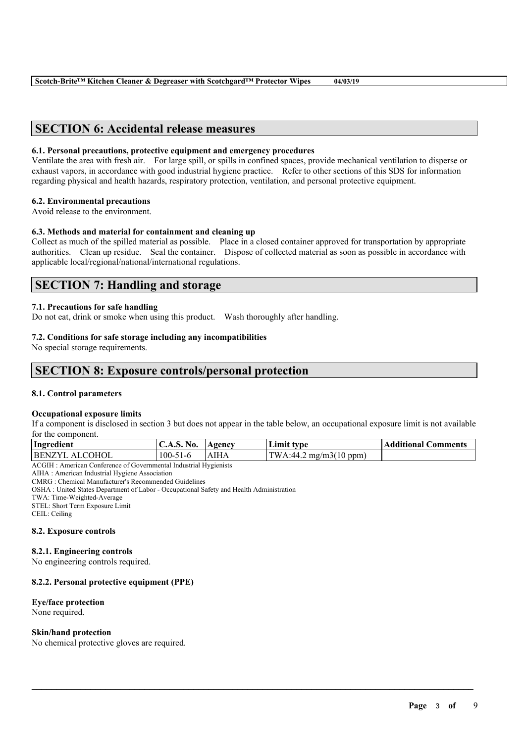# **SECTION 6: Accidental release measures**

#### **6.1. Personal precautions, protective equipment and emergency procedures**

Ventilate the area with fresh air. For large spill, or spills in confined spaces, provide mechanical ventilation to disperse or exhaust vapors, in accordance with good industrial hygiene practice. Refer to other sections of this SDS for information regarding physical and health hazards, respiratory protection, ventilation, and personal protective equipment.

#### **6.2. Environmental precautions**

Avoid release to the environment.

### **6.3. Methods and material for containment and cleaning up**

Collect as much of the spilled material as possible. Place in a closed container approved for transportation by appropriate authorities. Clean up residue. Seal the container. Dispose of collected material as soon as possible in accordance with applicable local/regional/national/international regulations.

# **SECTION 7: Handling and storage**

#### **7.1. Precautions for safe handling**

Do not eat, drink or smoke when using this product. Wash thoroughly after handling.

#### **7.2. Conditions for safe storage including any incompatibilities**

No special storage requirements.

# **SECTION 8: Exposure controls/personal protection**

#### **8.1. Control parameters**

#### **Occupational exposure limits**

If a component is disclosed in section 3 but does not appear in the table below, an occupational exposure limit is not available for the component.

| AIHA<br><b>COHOI</b><br><b>BENZ</b><br>100-<br>$T_{\rm W}$ .<br>$\mu$ mg/m3(10 ppm)<br>۰44<br>$\wedge$ 1<br>-1-6<br>. | Ingredient | $\mathbf{N_0}$<br>$\mathbf{C.A.5.}$ | Agency | Limit<br>tvne | <b>Additional Comments</b> |
|-----------------------------------------------------------------------------------------------------------------------|------------|-------------------------------------|--------|---------------|----------------------------|
|                                                                                                                       |            |                                     |        |               |                            |

 $\mathcal{L}_\mathcal{L} = \mathcal{L}_\mathcal{L} = \mathcal{L}_\mathcal{L} = \mathcal{L}_\mathcal{L} = \mathcal{L}_\mathcal{L} = \mathcal{L}_\mathcal{L} = \mathcal{L}_\mathcal{L} = \mathcal{L}_\mathcal{L} = \mathcal{L}_\mathcal{L} = \mathcal{L}_\mathcal{L} = \mathcal{L}_\mathcal{L} = \mathcal{L}_\mathcal{L} = \mathcal{L}_\mathcal{L} = \mathcal{L}_\mathcal{L} = \mathcal{L}_\mathcal{L} = \mathcal{L}_\mathcal{L} = \mathcal{L}_\mathcal{L}$ 

ACGIH : American Conference of Governmental Industrial Hygienists

AIHA : American Industrial Hygiene Association

CMRG : Chemical Manufacturer's Recommended Guidelines

OSHA : United States Department of Labor - Occupational Safety and Health Administration

TWA: Time-Weighted-Average

STEL: Short Term Exposure Limit

CEIL: Ceiling

#### **8.2. Exposure controls**

#### **8.2.1. Engineering controls**

No engineering controls required.

#### **8.2.2. Personal protective equipment (PPE)**

# **Eye/face protection**

None required.

#### **Skin/hand protection**

No chemical protective gloves are required.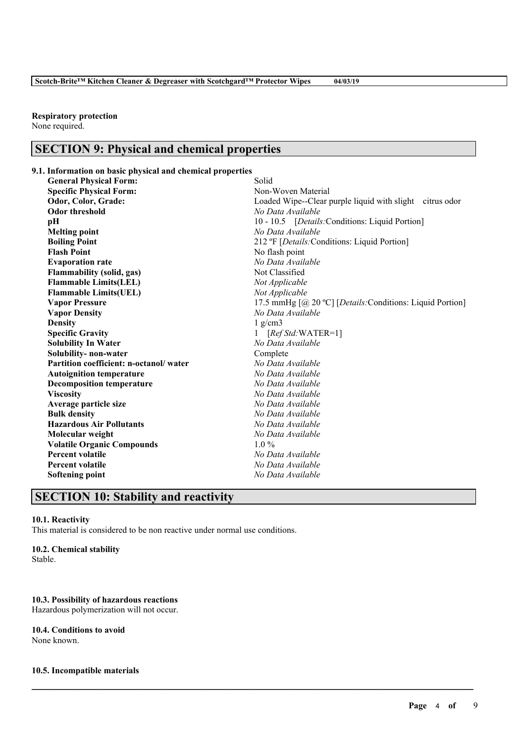#### **Respiratory protection**

None required.

# **SECTION 9: Physical and chemical properties**

**9.1. Information on basic physical and chemical properties**

| <b>General Physical Form:</b>          | Solid                                                     |  |  |
|----------------------------------------|-----------------------------------------------------------|--|--|
| <b>Specific Physical Form:</b>         | Non-Woven Material                                        |  |  |
| Odor, Color, Grade:                    | Loaded Wipe--Clear purple liquid with slight citrus odor  |  |  |
| <b>Odor threshold</b>                  | No Data Available                                         |  |  |
| pН                                     | 10 - 10.5 [Details: Conditions: Liquid Portion]           |  |  |
| <b>Melting point</b>                   | No Data Available                                         |  |  |
| <b>Boiling Point</b>                   | 212 °F [Details: Conditions: Liquid Portion]              |  |  |
| <b>Flash Point</b>                     | No flash point                                            |  |  |
| <b>Evaporation rate</b>                | No Data Available                                         |  |  |
| <b>Flammability (solid, gas)</b>       | Not Classified                                            |  |  |
| <b>Flammable Limits(LEL)</b>           | Not Applicable                                            |  |  |
| <b>Flammable Limits(UEL)</b>           | Not Applicable                                            |  |  |
| <b>Vapor Pressure</b>                  | 17.5 mmHg [@ 20 °C] [Details: Conditions: Liquid Portion] |  |  |
| <b>Vapor Density</b>                   | No Data Available                                         |  |  |
| <b>Density</b>                         | $1$ g/cm $3$                                              |  |  |
| <b>Specific Gravity</b>                | $[RefStd:WATER=1]$                                        |  |  |
| <b>Solubility In Water</b>             | No Data Available                                         |  |  |
| Solubility- non-water                  | Complete                                                  |  |  |
| Partition coefficient: n-octanol/water | No Data Available                                         |  |  |
| <b>Autoignition temperature</b>        | No Data Available                                         |  |  |
| <b>Decomposition temperature</b>       | No Data Available                                         |  |  |
| <b>Viscosity</b>                       | No Data Available                                         |  |  |
| Average particle size                  | No Data Available                                         |  |  |
| <b>Bulk density</b>                    | No Data Available                                         |  |  |
| <b>Hazardous Air Pollutants</b>        | No Data Available                                         |  |  |
| Molecular weight                       | No Data Available                                         |  |  |
| <b>Volatile Organic Compounds</b>      | $1.0\%$                                                   |  |  |
| <b>Percent volatile</b>                | No Data Available                                         |  |  |
| <b>Percent volatile</b>                | No Data Available                                         |  |  |
| <b>Softening point</b>                 | No Data Available                                         |  |  |

 $\mathcal{L}_\mathcal{L} = \mathcal{L}_\mathcal{L} = \mathcal{L}_\mathcal{L} = \mathcal{L}_\mathcal{L} = \mathcal{L}_\mathcal{L} = \mathcal{L}_\mathcal{L} = \mathcal{L}_\mathcal{L} = \mathcal{L}_\mathcal{L} = \mathcal{L}_\mathcal{L} = \mathcal{L}_\mathcal{L} = \mathcal{L}_\mathcal{L} = \mathcal{L}_\mathcal{L} = \mathcal{L}_\mathcal{L} = \mathcal{L}_\mathcal{L} = \mathcal{L}_\mathcal{L} = \mathcal{L}_\mathcal{L} = \mathcal{L}_\mathcal{L}$ 

# **SECTION 10: Stability and reactivity**

#### **10.1. Reactivity**

This material is considered to be non reactive under normal use conditions.

#### **10.2. Chemical stability**

Stable.

#### **10.3. Possibility of hazardous reactions**

Hazardous polymerization will not occur.

#### **10.4. Conditions to avoid**

None known.

### **10.5. Incompatible materials**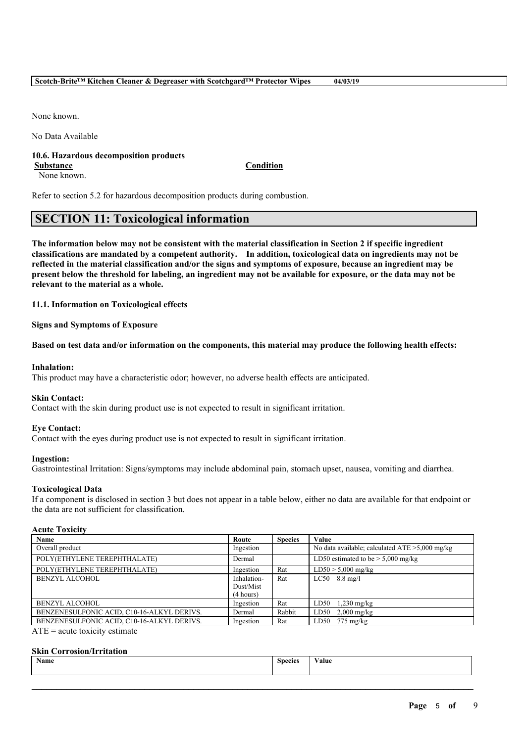None known.

No Data Available

#### **10.6. Hazardous decomposition products**

None known.

**Substance Condition**

Refer to section 5.2 for hazardous decomposition products during combustion.

# **SECTION 11: Toxicological information**

The information below may not be consistent with the material classification in Section 2 if specific ingredient **classifications are mandated by a competent authority. In addition, toxicological data on ingredients may not be** reflected in the material classification and/or the signs and symptoms of exposure, because an ingredient may be present below the threshold for labeling, an ingredient may not be available for exposure, or the data may not be **relevant to the material as a whole.**

**11.1. Information on Toxicological effects**

**Signs and Symptoms of Exposure**

Based on test data and/or information on the components, this material may produce the following health effects:

#### **Inhalation:**

This product may have a characteristic odor; however, no adverse health effects are anticipated.

#### **Skin Contact:**

Contact with the skin during product use is not expected to result in significant irritation.

#### **Eye Contact:**

Contact with the eyes during product use is not expected to result in significant irritation.

#### **Ingestion:**

Gastrointestinal Irritation: Signs/symptoms may include abdominal pain, stomach upset, nausea, vomiting and diarrhea.

#### **Toxicological Data**

If a component is disclosed in section 3 but does not appear in a table below, either no data are available for that endpoint or the data are not sufficient for classification.

#### **Acute Toxicity**

| <b>Name</b>                                                                                                                                                                                                                       | Route       | <b>Species</b> | Value                                             |
|-----------------------------------------------------------------------------------------------------------------------------------------------------------------------------------------------------------------------------------|-------------|----------------|---------------------------------------------------|
| Overall product                                                                                                                                                                                                                   | Ingestion   |                | No data available; calculated $ATE > 5,000$ mg/kg |
| POLY(ETHYLENE TEREPHTHALATE)                                                                                                                                                                                                      | Dermal      |                | LD50 estimated to be $> 5,000$ mg/kg              |
| POLY(ETHYLENE TEREPHTHALATE)                                                                                                                                                                                                      | Ingestion   | Rat            | $LD50 > 5,000$ mg/kg                              |
| <b>BENZYL ALCOHOL</b>                                                                                                                                                                                                             | Inhalation- | Rat            | $LC50$ 8.8 mg/l                                   |
|                                                                                                                                                                                                                                   | Dust/Mist   |                |                                                   |
|                                                                                                                                                                                                                                   | (4 hours)   |                |                                                   |
| <b>BENZYL ALCOHOL</b>                                                                                                                                                                                                             | Ingestion   | Rat            | LD50<br>$1,230$ mg/kg                             |
| BENZENESULFONIC ACID, C10-16-ALKYL DERIVS.                                                                                                                                                                                        | Dermal      | Rabbit         | LD50<br>$2,000$ mg/kg                             |
| BENZENESULFONIC ACID, C10-16-ALKYL DERIVS.                                                                                                                                                                                        | Ingestion   | Rat            | $LD50$ 775 mg/kg                                  |
| $\frac{1}{2}$ . The contract of the contract of the contract of the contract of the contract of the contract of the contract of the contract of the contract of the contract of the contract of the contract of the contract of t |             |                |                                                   |

 $ATE = acute$  toxicity estimate

#### **Skin Corrosion/Irritation**

| Name | Species | alue/ |
|------|---------|-------|
|      |         |       |

 $\mathcal{L}_\mathcal{L} = \mathcal{L}_\mathcal{L} = \mathcal{L}_\mathcal{L} = \mathcal{L}_\mathcal{L} = \mathcal{L}_\mathcal{L} = \mathcal{L}_\mathcal{L} = \mathcal{L}_\mathcal{L} = \mathcal{L}_\mathcal{L} = \mathcal{L}_\mathcal{L} = \mathcal{L}_\mathcal{L} = \mathcal{L}_\mathcal{L} = \mathcal{L}_\mathcal{L} = \mathcal{L}_\mathcal{L} = \mathcal{L}_\mathcal{L} = \mathcal{L}_\mathcal{L} = \mathcal{L}_\mathcal{L} = \mathcal{L}_\mathcal{L}$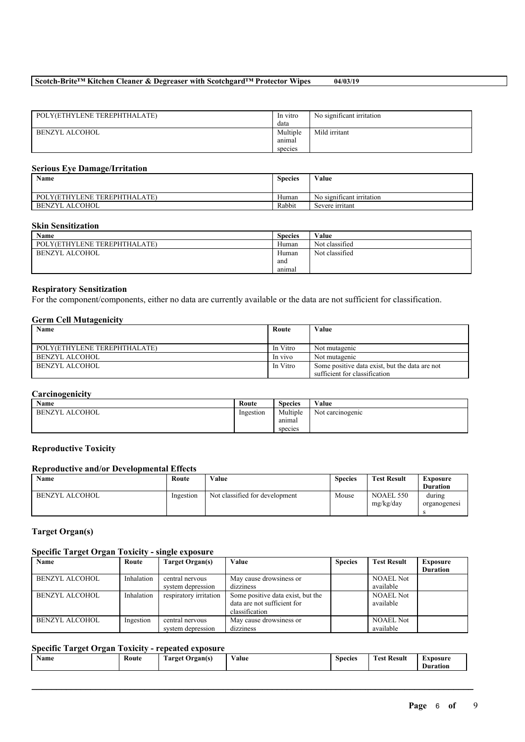| POLY(ETHYLENE TEREPHTHALATE) | In vitro | No significant irritation |
|------------------------------|----------|---------------------------|
|                              | data     |                           |
| BENZYL ALCOHOL               | Multiple | Mild irritant             |
|                              | animal   |                           |
|                              | species  |                           |

### **Serious Eye Damage/Irritation**

| Name                         | <b>Species</b> | Value                     |
|------------------------------|----------------|---------------------------|
| POLY(ETHYLENE TEREPHTHALATE) | Human          | No significant irritation |
| BENZYL ALCOHOL               | Rabbit         | Severe irritant           |

#### **Skin Sensitization**

| Name                         | <b>Species</b> | Value          |
|------------------------------|----------------|----------------|
| POLY(ETHYLENE TEREPHTHALATE) | Human          | Not classified |
| BENZYL ALCOHOL               | Human          | Not classified |
|                              | and            |                |
|                              | anımal         |                |

### **Respiratory Sensitization**

For the component/components, either no data are currently available or the data are not sufficient for classification.

#### **Germ Cell Mutagenicity**

| Name                         | Route    | Value                                          |
|------------------------------|----------|------------------------------------------------|
|                              |          |                                                |
| POLY(ETHYLENE TEREPHTHALATE) | In Vitro | Not mutagenic                                  |
| BENZYL ALCOHOL               | In vivo  | Not mutagenic                                  |
| BENZYL ALCOHOL               | In Vitro | Some positive data exist, but the data are not |
|                              |          | sufficient for classification                  |

### **Carcinogenicity**

| Name                  | Route     | <b>Species</b> | Value            |
|-----------------------|-----------|----------------|------------------|
| <b>BENZYL ALCOHOL</b> | Ingestion | Multiple       | Not carcinogenic |
|                       |           | anımal         |                  |
|                       |           | species        |                  |

### **Reproductive Toxicity**

### **Reproductive and/or Developmental Effects**

| Name           | Route     | Value                          | <b>Species</b> | <b>Test Result</b>     | Exposure<br><b>Duration</b> |
|----------------|-----------|--------------------------------|----------------|------------------------|-----------------------------|
| BENZYL ALCOHOL | Ingestion | Not classified for development | Mouse          | NOAEL 550<br>mg/kg/day | during<br>organogenesi      |

#### **Target Organ(s)**

### **Specific Target Organ Toxicity - single exposure**

| Name                  | Route      | Target Organ(s)        | Value                             | <b>Species</b> | <b>Test Result</b> | <b>Exposure</b> |
|-----------------------|------------|------------------------|-----------------------------------|----------------|--------------------|-----------------|
|                       |            |                        |                                   |                |                    | <b>Duration</b> |
| BENZYL ALCOHOL        | Inhalation | central nervous        | May cause drowsiness or           |                | <b>NOAEL Not</b>   |                 |
|                       |            | system depression      | dizziness                         |                | available          |                 |
| <b>BENZYL ALCOHOL</b> | Inhalation | respiratory irritation | Some positive data exist, but the |                | <b>NOAEL Not</b>   |                 |
|                       |            |                        | data are not sufficient for       |                | available          |                 |
|                       |            |                        | classification                    |                |                    |                 |
| <b>BENZYL ALCOHOL</b> | Ingestion  | central nervous        | May cause drowsiness or           |                | <b>NOAEL Not</b>   |                 |
|                       |            | system depression      | dizziness                         |                | available          |                 |

### **Specific Target Organ Toxicity - repeated exposure**

| <b>1999</b><br>$\rightarrow$<br>Route<br>Name<br>rarget<br>Drgan(s)<br>.<br>- | $\mathbf{v}$<br>⁄ alue | `necies | $\mathbf{r}$<br><b>CONTRACTOR</b><br>Test.<br>-Result<br>. | -<br>Xnosure)<br>Duration |
|-------------------------------------------------------------------------------|------------------------|---------|------------------------------------------------------------|---------------------------|
|-------------------------------------------------------------------------------|------------------------|---------|------------------------------------------------------------|---------------------------|

 $\mathcal{L}_\mathcal{L} = \mathcal{L}_\mathcal{L} = \mathcal{L}_\mathcal{L} = \mathcal{L}_\mathcal{L} = \mathcal{L}_\mathcal{L} = \mathcal{L}_\mathcal{L} = \mathcal{L}_\mathcal{L} = \mathcal{L}_\mathcal{L} = \mathcal{L}_\mathcal{L} = \mathcal{L}_\mathcal{L} = \mathcal{L}_\mathcal{L} = \mathcal{L}_\mathcal{L} = \mathcal{L}_\mathcal{L} = \mathcal{L}_\mathcal{L} = \mathcal{L}_\mathcal{L} = \mathcal{L}_\mathcal{L} = \mathcal{L}_\mathcal{L}$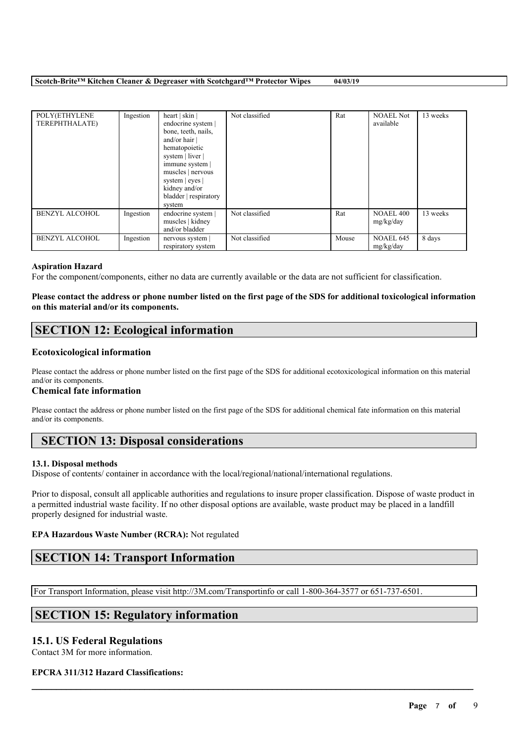| POLY(ETHYLENE<br>TEREPHTHALATE) | Ingestion | heart   skin  <br>endocrine system  <br>bone, teeth, nails,<br>and/or hair  <br>hematopoietic<br>system   liver  <br>immune system  <br>muscles   nervous<br>system   eyes  <br>kidney and/or<br>bladder respiratory<br>system | Not classified | Rat   | <b>NOAEL Not</b><br>available | 13 weeks |
|---------------------------------|-----------|--------------------------------------------------------------------------------------------------------------------------------------------------------------------------------------------------------------------------------|----------------|-------|-------------------------------|----------|
| <b>BENZYL ALCOHOL</b>           | Ingestion | endocrine system  <br>muscles   kidney<br>and/or bladder                                                                                                                                                                       | Not classified | Rat   | <b>NOAEL 400</b><br>mg/kg/day | 13 weeks |
| <b>BENZYL ALCOHOL</b>           | Ingestion | nervous system<br>respiratory system                                                                                                                                                                                           | Not classified | Mouse | <b>NOAEL 645</b><br>mg/kg/day | 8 days   |

#### **Aspiration Hazard**

For the component/components, either no data are currently available or the data are not sufficient for classification.

#### Please contact the address or phone number listed on the first page of the SDS for additional toxicological information **on this material and/or its components.**

# **SECTION 12: Ecological information**

#### **Ecotoxicological information**

Please contact the address or phone number listed on the first page of the SDS for additional ecotoxicological information on this material and/or its components.

#### **Chemical fate information**

Please contact the address or phone number listed on the first page of the SDS for additional chemical fate information on this material and/or its components.

# **SECTION 13: Disposal considerations**

#### **13.1. Disposal methods**

Dispose of contents/ container in accordance with the local/regional/national/international regulations.

Prior to disposal, consult all applicable authorities and regulations to insure proper classification. Dispose of waste product in a permitted industrial waste facility. If no other disposal options are available, waste product may be placed in a landfill properly designed for industrial waste.

 $\mathcal{L}_\mathcal{L} = \mathcal{L}_\mathcal{L} = \mathcal{L}_\mathcal{L} = \mathcal{L}_\mathcal{L} = \mathcal{L}_\mathcal{L} = \mathcal{L}_\mathcal{L} = \mathcal{L}_\mathcal{L} = \mathcal{L}_\mathcal{L} = \mathcal{L}_\mathcal{L} = \mathcal{L}_\mathcal{L} = \mathcal{L}_\mathcal{L} = \mathcal{L}_\mathcal{L} = \mathcal{L}_\mathcal{L} = \mathcal{L}_\mathcal{L} = \mathcal{L}_\mathcal{L} = \mathcal{L}_\mathcal{L} = \mathcal{L}_\mathcal{L}$ 

#### **EPA Hazardous Waste Number (RCRA):** Not regulated

# **SECTION 14: Transport Information**

For Transport Information, please visit http://3M.com/Transportinfo or call 1-800-364-3577 or 651-737-6501.

# **SECTION 15: Regulatory information**

### **15.1. US Federal Regulations**

Contact 3M for more information.

#### **EPCRA 311/312 Hazard Classifications:**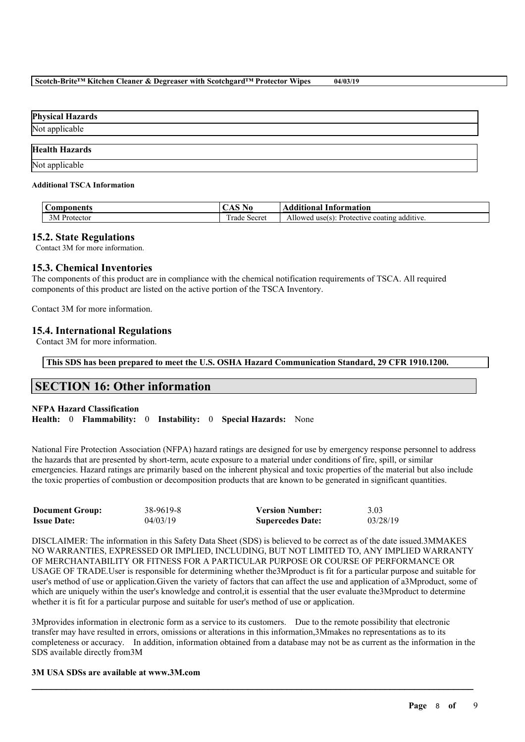| <b>Physical Hazards</b> |  |
|-------------------------|--|
| Not applicable          |  |
| <b>Health Hazards</b>   |  |
| Not applicable          |  |

#### **Additional TSCA Information**

| $\sqrt{ }$<br>onents<br>∶on<br>ш<br>. . | $\rightarrow$<br>19 U               | .<br>Intormation<br>⊶nono'                                                |
|-----------------------------------------|-------------------------------------|---------------------------------------------------------------------------|
| 235B<br>3M<br>otector                   | <b>TIME</b><br>--<br>Secret<br>rade | $\rightarrow$<br>additive.<br>: coating<br>usets<br>Profective<br>Allowed |

### **15.2. State Regulations**

Contact 3M for more information.

## **15.3. Chemical Inventories**

The components of this product are in compliance with the chemical notification requirements of TSCA. All required components of this product are listed on the active portion of the TSCA Inventory.

Contact 3M for more information.

### **15.4. International Regulations**

Contact 3M for more information.

**This SDS has been prepared to meet the U.S. OSHA Hazard Communication Standard, 29 CFR 1910.1200.**

# **SECTION 16: Other information**

#### **NFPA Hazard Classification**

**Health:** 0 **Flammability:** 0 **Instability:** 0 **Special Hazards:** None

National Fire Protection Association (NFPA) hazard ratings are designed for use by emergency response personnel to address the hazards that are presented by short-term, acute exposure to a material under conditions of fire, spill, or similar emergencies. Hazard ratings are primarily based on the inherent physical and toxic properties of the material but also include the toxic properties of combustion or decomposition products that are known to be generated in significant quantities.

| <b>Document Group:</b> | 38-9619-8 | <b>Version Number:</b>  | 3.03     |
|------------------------|-----------|-------------------------|----------|
| <b>Issue Date:</b>     | 04/03/19  | <b>Supercedes Date:</b> | 03/28/19 |

DISCLAIMER: The information in this Safety Data Sheet (SDS) is believed to be correct as of the date issued.3MMAKES NO WARRANTIES, EXPRESSED OR IMPLIED, INCLUDING, BUT NOT LIMITED TO, ANY IMPLIED WARRANTY OF MERCHANTABILITY OR FITNESS FOR A PARTICULAR PURPOSE OR COURSE OF PERFORMANCE OR USAGE OF TRADE.User is responsible for determining whether the3Mproduct is fit for a particular purpose and suitable for user's method of use or application.Given the variety of factors that can affect the use and application of a3Mproduct, some of which are uniquely within the user's knowledge and control, it is essential that the user evaluate the3Mproduct to determine whether it is fit for a particular purpose and suitable for user's method of use or application.

3Mprovides information in electronic form as a service to its customers. Due to the remote possibility that electronic transfer may have resulted in errors, omissions or alterations in this information,3Mmakes no representations as to its completeness or accuracy. In addition, information obtained from a database may not be as current as the information in the SDS available directly from3M

 $\mathcal{L}_\mathcal{L} = \mathcal{L}_\mathcal{L} = \mathcal{L}_\mathcal{L} = \mathcal{L}_\mathcal{L} = \mathcal{L}_\mathcal{L} = \mathcal{L}_\mathcal{L} = \mathcal{L}_\mathcal{L} = \mathcal{L}_\mathcal{L} = \mathcal{L}_\mathcal{L} = \mathcal{L}_\mathcal{L} = \mathcal{L}_\mathcal{L} = \mathcal{L}_\mathcal{L} = \mathcal{L}_\mathcal{L} = \mathcal{L}_\mathcal{L} = \mathcal{L}_\mathcal{L} = \mathcal{L}_\mathcal{L} = \mathcal{L}_\mathcal{L}$ 

#### **3M USA SDSs are available at www.3M.com**